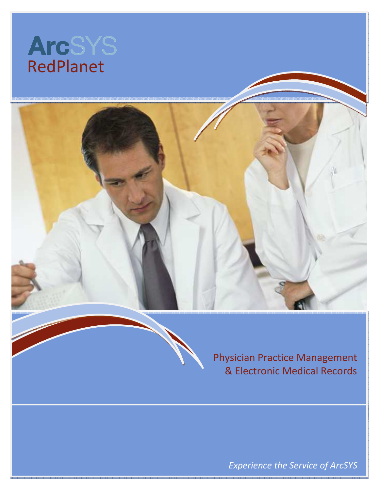

I





Physician Practice Management & Electronic Medical Records

Experience the Service of ArcSYS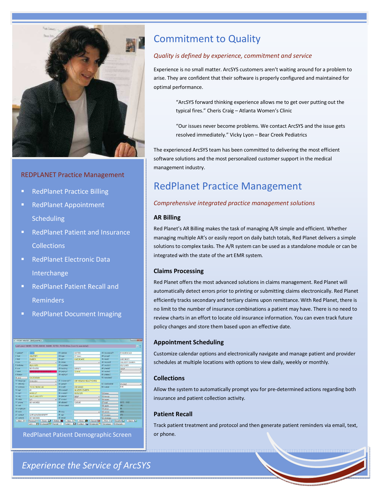

#### REDPLANET Practice Management

- **RedPlanet Practice Billing**
- RedPlanet Appointment **Scheduling**
- RedPlanet Patient and Insurance **Collections**
- RedPlanet Electronic Data Interchange
- RedPlanet Patient Recall and Reminders
- **RedPlanet Document Imaging**



RedPlanet Patient Demographic Screen

# Commitment to Quality

#### Quality is defined by experience, commitment and service

Experience is no small matter. ArcSYS customers aren't waiting around for a problem to arise. They are confident that their software is properly configured and maintained for optimal performance.

> "ArcSYS forward thinking experience allows me to get over putting out the typical fires." Cheris Craig – Atlanta Women's Clinic

> "Our issues never become problems. We contact ArcSYS and the issue gets resolved immediately." Vicky Lyon – Bear Creek Pediatrics

The experienced ArcSYS team has been committed to delivering the most efficient software solutions and the most personalized customer support in the medical management industry.

## RedPlanet Practice Management

#### Comprehensive integrated practice management solutions

#### AR Billing

Red Planet's AR Billing makes the task of managing A/R simple and efficient. Whether managing multiple AR's or easily report on daily batch totals, Red Planet delivers a simple solutions to complex tasks. The A/R system can be used as a standalone module or can be integrated with the state of the art EMR system.

#### Claims Processing

Red Planet offers the most advanced solutions in claims management. Red Planet will automatically detect errors prior to printing or submitting claims electronically. Red Planet efficiently tracks secondary and tertiary claims upon remittance. With Red Planet, there is no limit to the number of insurance combinations a patient may have. There is no need to review charts in an effort to locate old insurance information. You can even track future policy changes and store them based upon an effective date.

#### Appointment Scheduling

Customize calendar options and electronically navigate and manage patient and provider schedules at multiple locations with options to view daily, weekly or monthly.

#### **Collections**

Allow the system to automatically prompt you for pre-determined actions regarding both insurance and patient collection activity.

#### Patient Recall

Track patient treatment and protocol and then generate patient reminders via email, text, or phone.

Experience the Service of ArcSYS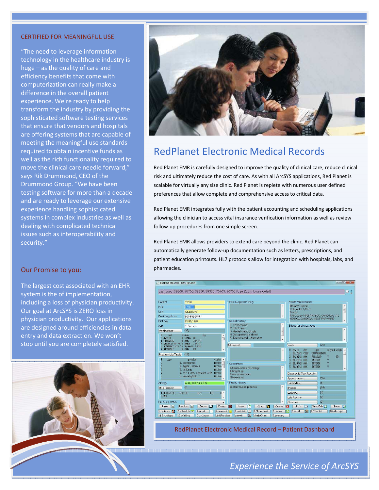#### CERTIFIED FOR MEANINGFUL USE

I

"The need to leverage information technology in the healthcare industry is huge – as the quality of care and efficiency benefits that come with computerization can really make a difference in the overall patient experience. We're ready to help transform the industry by providing the sophisticated software testing services that ensure that vendors and hospitals are offering systems that are capable of meeting the meaningful use standards required to obtain incentive funds as well as the rich functionality required to move the clinical care needle forward," says Rik Drummond, CEO of the Drummond Group. "We have been testing software for more than a decade and are ready to leverage our extensive experience handling sophisticated systems in complex industries as well as dealing with complicated technical issues such as interoperability and security."

#### Our Promise to you:

The largest cost associated with an EHR system is the of implementation, including a loss of physician productivity. Our goal at ArcSYS is ZERO loss in physician productivity. Our applications are designed around efficiencies in data entry and data extraction. We won't stop until you are completely satisfied.





## RedPlanet Electronic Medical Records

Red Planet EMR is carefully designed to improve the quality of clinical care, reduce clinical risk and ultimately reduce the cost of care. As with all ArcSYS applications, Red Planet is scalable for virtually any size clinic. Red Planet is replete with numerous user defined preferences that allow complete and comprehensive access to critical data.

Red Planet EMR integrates fully with the patient accounting and scheduling applications allowing the clinician to access vital insurance verification information as well as review follow-up procedures from one simple screen.

Red Planet EMR allows providers to extend care beyond the clinic. Red Planet can automatically generate follow-up documentation such as letters, prescriptions, and patient education printouts. HL7 protocols allow for integration with hospitals, labs, and pharmacies.



RedPlanet Electronic Medical Record – Patient Dashboard

### Experience the Service of ArcSYS